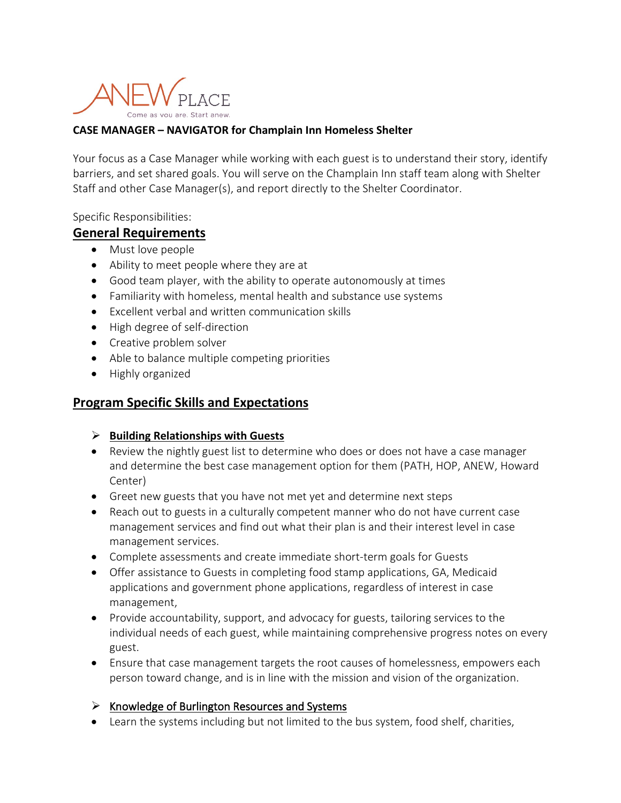

### **CASE MANAGER – NAVIGATOR for Champlain Inn Homeless Shelter**

Your focus as a Case Manager while working with each guest is to understand their story, identify barriers, and set shared goals. You will serve on the Champlain Inn staff team along with Shelter Staff and other Case Manager(s), and report directly to the Shelter Coordinator.

Specific Responsibilities:

### **General Requirements**

- Must love people
- Ability to meet people where they are at
- Good team player, with the ability to operate autonomously at times
- Familiarity with homeless, mental health and substance use systems
- Excellent verbal and written communication skills
- High degree of self-direction
- Creative problem solver
- Able to balance multiple competing priorities
- Highly organized

## **Program Specific Skills and Expectations**

#### **Building Relationships with Guests**

- Review the nightly guest list to determine who does or does not have a case manager and determine the best case management option for them (PATH, HOP, ANEW, Howard Center)
- Greet new guests that you have not met yet and determine next steps
- Reach out to guests in a culturally competent manner who do not have current case management services and find out what their plan is and their interest level in case management services.
- Complete assessments and create immediate short-term goals for Guests
- Offer assistance to Guests in completing food stamp applications, GA, Medicaid applications and government phone applications, regardless of interest in case management,
- Provide accountability, support, and advocacy for guests, tailoring services to the individual needs of each guest, while maintaining comprehensive progress notes on every guest.
- Ensure that case management targets the root causes of homelessness, empowers each person toward change, and is in line with the mission and vision of the organization.

#### $\triangleright$  Knowledge of Burlington Resources and Systems

• Learn the systems including but not limited to the bus system, food shelf, charities,